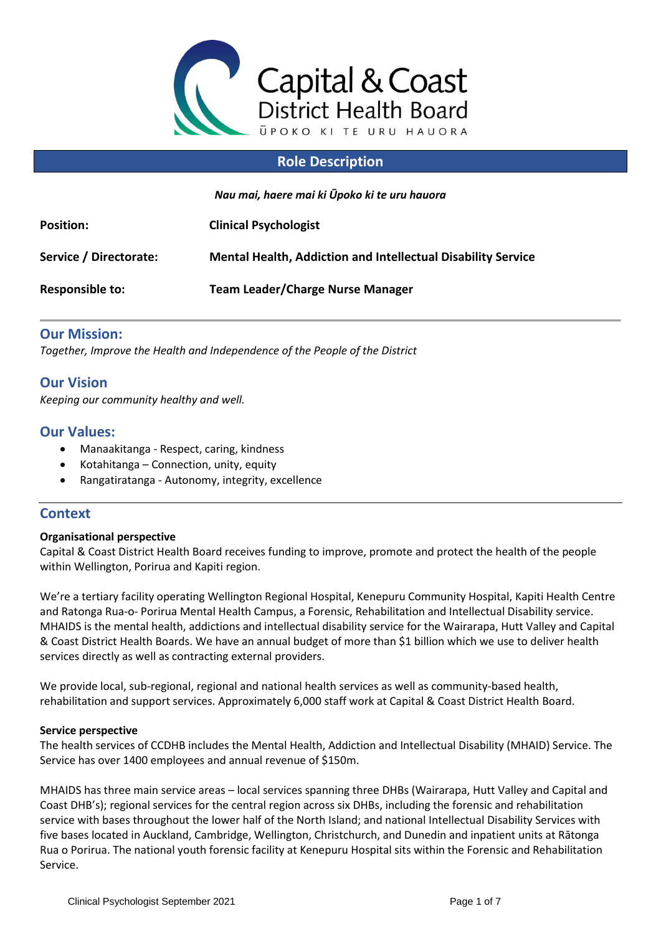

## **Role Description**

*Nau mai, haere mai ki Ūpoko ki te uru hauora*

| <b>Position:</b>       | <b>Clinical Psychologist</b>                                        |
|------------------------|---------------------------------------------------------------------|
| Service / Directorate: | <b>Mental Health, Addiction and Intellectual Disability Service</b> |
| Responsible to:        | <b>Team Leader/Charge Nurse Manager</b>                             |

## **Our Mission:**

*Together, Improve the Health and Independence of the People of the District*

## **Our Vision**

*Keeping our community healthy and well.*

## **Our Values:**

- Manaakitanga Respect, caring, kindness
- Kotahitanga Connection, unity, equity
- Rangatiratanga Autonomy, integrity, excellence

## **Context**

### **Organisational perspective**

Capital & Coast District Health Board receives funding to improve, promote and protect the health of the people within Wellington, Porirua and Kapiti region.

We're a tertiary facility operating Wellington Regional Hospital, Kenepuru Community Hospital, Kapiti Health Centre and Ratonga Rua-o- Porirua Mental Health Campus, a Forensic, Rehabilitation and Intellectual Disability service. MHAIDS is the mental health, addictions and intellectual disability service for the Wairarapa, Hutt Valley and Capital & Coast District Health Boards. We have an annual budget of more than \$1 billion which we use to deliver health services directly as well as contracting external providers.

We provide local, sub-regional, regional and national health services as well as community-based health, rehabilitation and support services. Approximately 6,000 staff work at Capital & Coast District Health Board.

### **Service perspective**

The health services of CCDHB includes the Mental Health, Addiction and Intellectual Disability (MHAID) Service. The Service has over 1400 employees and annual revenue of \$150m.

MHAIDS has three main service areas – local services spanning three DHBs (Wairarapa, Hutt Valley and Capital and Coast DHB's); regional services for the central region across six DHBs, including the forensic and rehabilitation service with bases throughout the lower half of the North Island; and national Intellectual Disability Services with five bases located in Auckland, Cambridge, Wellington, Christchurch, and Dunedin and inpatient units at Rātonga Rua o Porirua. The national youth forensic facility at Kenepuru Hospital sits within the Forensic and Rehabilitation Service.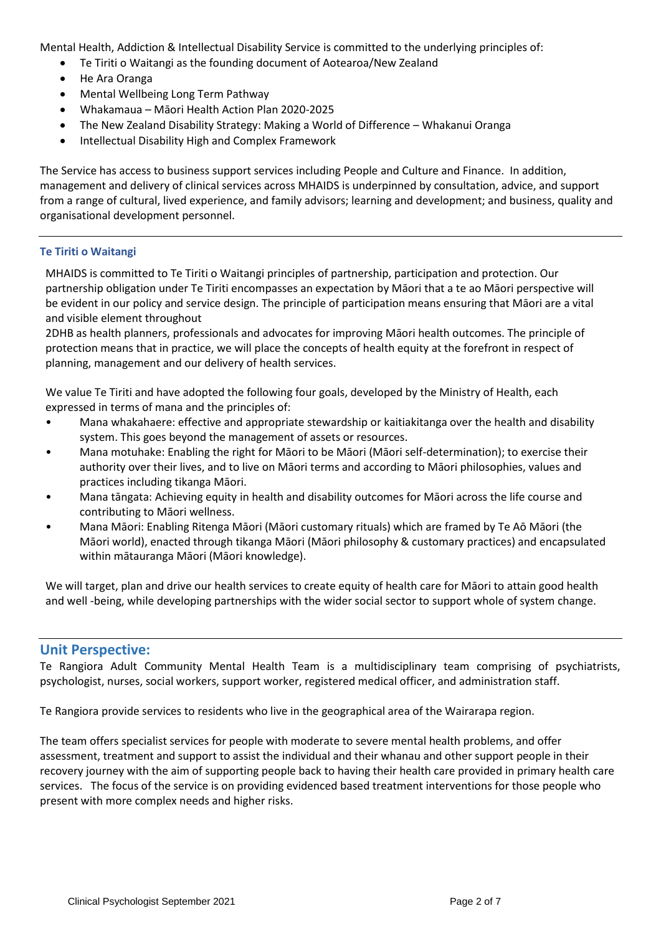Mental Health, Addiction & Intellectual Disability Service is committed to the underlying principles of:

- Te Tiriti o Waitangi as the founding document of Aotearoa/New Zealand
- He Ara Oranga
- Mental Wellbeing Long Term Pathway
- Whakamaua Māori Health Action Plan 2020-2025
- The New Zealand Disability Strategy: Making a World of Difference Whakanui Oranga
- Intellectual Disability High and Complex Framework

The Service has access to business support services including People and Culture and Finance. In addition, management and delivery of clinical services across MHAIDS is underpinned by consultation, advice, and support from a range of cultural, lived experience, and family advisors; learning and development; and business, quality and organisational development personnel.

### **Te Tiriti o Waitangi**

MHAIDS is committed to Te Tiriti o Waitangi principles of partnership, participation and protection. Our partnership obligation under Te Tiriti encompasses an expectation by Māori that a te ao Māori perspective will be evident in our policy and service design. The principle of participation means ensuring that Māori are a vital and visible element throughout

2DHB as health planners, professionals and advocates for improving Māori health outcomes. The principle of protection means that in practice, we will place the concepts of health equity at the forefront in respect of planning, management and our delivery of health services.

We value Te Tiriti and have adopted the following four goals, developed by the Ministry of Health, each expressed in terms of mana and the principles of:

- Mana whakahaere: effective and appropriate stewardship or kaitiakitanga over the health and disability system. This goes beyond the management of assets or resources.
- Mana motuhake: Enabling the right for Māori to be Māori (Māori self-determination); to exercise their authority over their lives, and to live on Māori terms and according to Māori philosophies, values and practices including tikanga Māori.
- Mana tāngata: Achieving equity in health and disability outcomes for Māori across the life course and contributing to Māori wellness.
- Mana Māori: Enabling Ritenga Māori (Māori customary rituals) which are framed by Te Aō Māori (the Māori world), enacted through tikanga Māori (Māori philosophy & customary practices) and encapsulated within mātauranga Māori (Māori knowledge).

We will target, plan and drive our health services to create equity of health care for Māori to attain good health and well -being, while developing partnerships with the wider social sector to support whole of system change.

## **Unit Perspective:**

Te Rangiora Adult Community Mental Health Team is a multidisciplinary team comprising of psychiatrists, psychologist, nurses, social workers, support worker, registered medical officer, and administration staff.

Te Rangiora provide services to residents who live in the geographical area of the Wairarapa region.

The team offers specialist services for people with moderate to severe mental health problems, and offer assessment, treatment and support to assist the individual and their whanau and other support people in their recovery journey with the aim of supporting people back to having their health care provided in primary health care services. The focus of the service is on providing evidenced based treatment interventions for those people who present with more complex needs and higher risks.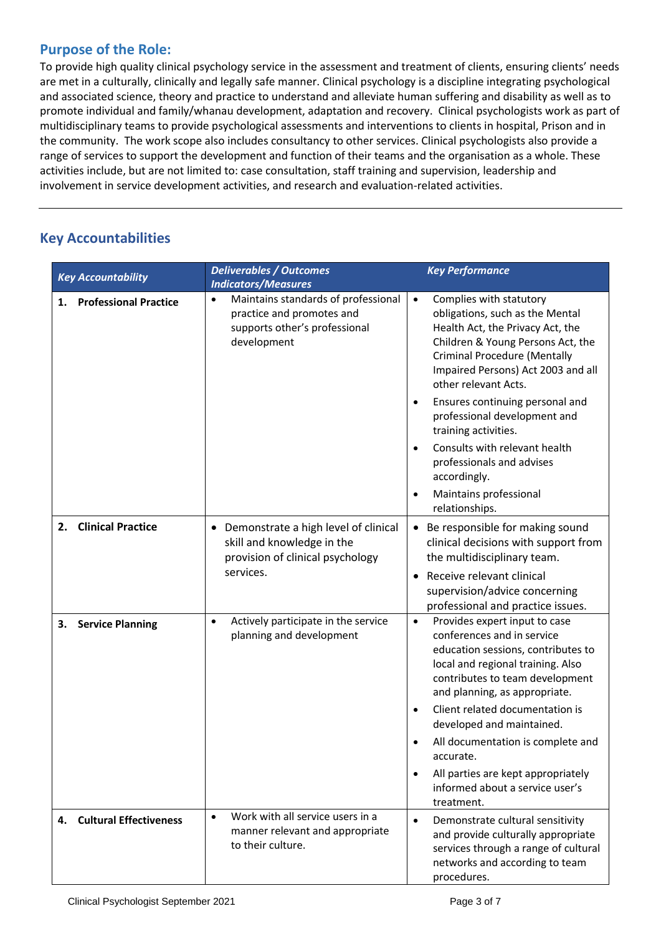## **Purpose of the Role:**

To provide high quality clinical psychology service in the assessment and treatment of clients, ensuring clients' needs are met in a culturally, clinically and legally safe manner. Clinical psychology is a discipline integrating psychological and associated science, theory and practice to understand and alleviate human suffering and disability as well as to promote individual and family/whanau development, adaptation and recovery. Clinical psychologists work as part of multidisciplinary teams to provide psychological assessments and interventions to clients in hospital, Prison and in the community. The work scope also includes consultancy to other services. Clinical psychologists also provide a range of services to support the development and function of their teams and the organisation as a whole. These activities include, but are not limited to: case consultation, staff training and supervision, leadership and involvement in service development activities, and research and evaluation-related activities.

## **Key Accountabilities**

| <b>Key Accountability</b>          | <b>Deliverables / Outcomes</b><br><b>Indicators/Measures</b>                                                                  | <b>Key Performance</b>                                                                                                                                                                                                                                                                                                                                                                                                                                                                  |
|------------------------------------|-------------------------------------------------------------------------------------------------------------------------------|-----------------------------------------------------------------------------------------------------------------------------------------------------------------------------------------------------------------------------------------------------------------------------------------------------------------------------------------------------------------------------------------------------------------------------------------------------------------------------------------|
| <b>Professional Practice</b><br>1. | Maintains standards of professional<br>$\bullet$<br>practice and promotes and<br>supports other's professional<br>development | Complies with statutory<br>$\bullet$<br>obligations, such as the Mental<br>Health Act, the Privacy Act, the<br>Children & Young Persons Act, the<br><b>Criminal Procedure (Mentally</b><br>Impaired Persons) Act 2003 and all<br>other relevant Acts.<br>Ensures continuing personal and<br>professional development and<br>training activities.<br>Consults with relevant health<br>$\bullet$<br>professionals and advises<br>accordingly.<br>Maintains professional<br>relationships. |
| <b>Clinical Practice</b><br>2.     | Demonstrate a high level of clinical<br>٠<br>skill and knowledge in the<br>provision of clinical psychology<br>services.      | Be responsible for making sound<br>clinical decisions with support from<br>the multidisciplinary team.<br>Receive relevant clinical<br>$\bullet$<br>supervision/advice concerning<br>professional and practice issues.                                                                                                                                                                                                                                                                  |
| <b>Service Planning</b><br>3.      | Actively participate in the service<br>$\bullet$<br>planning and development                                                  | Provides expert input to case<br>$\bullet$<br>conferences and in service<br>education sessions, contributes to<br>local and regional training. Also<br>contributes to team development<br>and planning, as appropriate.<br>Client related documentation is<br>$\bullet$<br>developed and maintained.<br>All documentation is complete and<br>accurate.<br>All parties are kept appropriately<br>$\bullet$<br>informed about a service user's<br>treatment.                              |
| 4. Cultural Effectiveness          | Work with all service users in a<br>$\bullet$<br>manner relevant and appropriate<br>to their culture.                         | Demonstrate cultural sensitivity<br>$\bullet$<br>and provide culturally appropriate<br>services through a range of cultural<br>networks and according to team<br>procedures.                                                                                                                                                                                                                                                                                                            |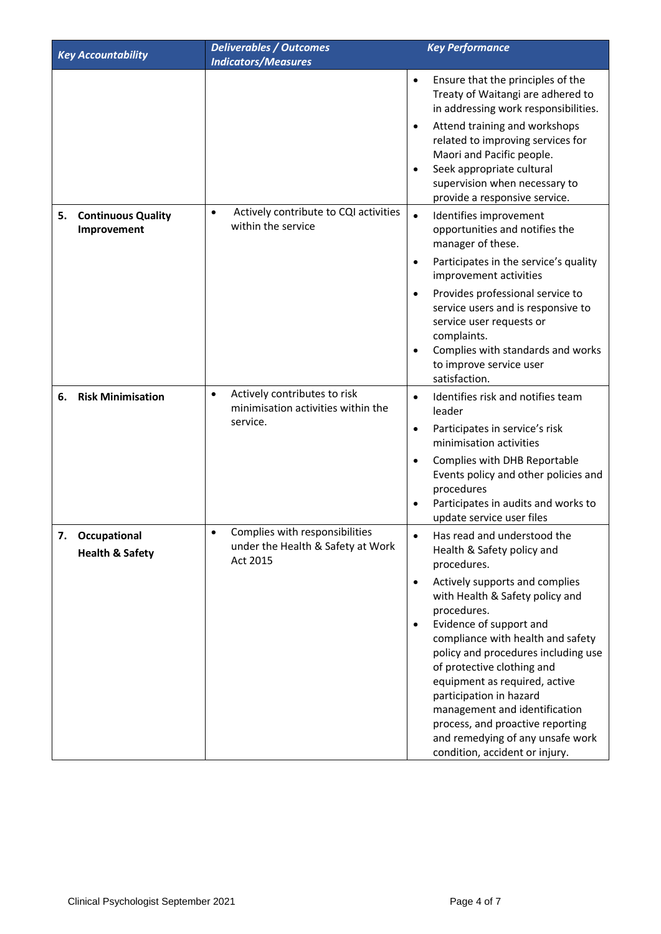| <b>Key Accountability</b>                        | <b>Deliverables / Outcomes</b>                                                               | <b>Key Performance</b>                                                                                                                                                                                                                                                                                                                                                                                                                                                                                                             |
|--------------------------------------------------|----------------------------------------------------------------------------------------------|------------------------------------------------------------------------------------------------------------------------------------------------------------------------------------------------------------------------------------------------------------------------------------------------------------------------------------------------------------------------------------------------------------------------------------------------------------------------------------------------------------------------------------|
|                                                  | <b>Indicators/Measures</b>                                                                   |                                                                                                                                                                                                                                                                                                                                                                                                                                                                                                                                    |
|                                                  |                                                                                              | Ensure that the principles of the<br>$\bullet$<br>Treaty of Waitangi are adhered to<br>in addressing work responsibilities.<br>Attend training and workshops<br>$\bullet$<br>related to improving services for<br>Maori and Pacific people.<br>Seek appropriate cultural<br>$\bullet$<br>supervision when necessary to<br>provide a responsive service.                                                                                                                                                                            |
| <b>Continuous Quality</b><br>5.<br>Improvement   | Actively contribute to CQI activities<br>$\bullet$<br>within the service                     | $\bullet$<br>Identifies improvement<br>opportunities and notifies the<br>manager of these.<br>Participates in the service's quality<br>$\bullet$<br>improvement activities<br>Provides professional service to<br>$\bullet$<br>service users and is responsive to<br>service user requests or<br>complaints.<br>Complies with standards and works<br>to improve service user<br>satisfaction.                                                                                                                                      |
| <b>Risk Minimisation</b><br>6.                   | Actively contributes to risk<br>$\bullet$<br>minimisation activities within the<br>service.  | Identifies risk and notifies team<br>$\bullet$<br>leader<br>Participates in service's risk<br>$\bullet$<br>minimisation activities<br>Complies with DHB Reportable<br>$\bullet$<br>Events policy and other policies and<br>procedures<br>Participates in audits and works to<br>$\bullet$<br>update service user files                                                                                                                                                                                                             |
| 7.<br>Occupational<br><b>Health &amp; Safety</b> | Complies with responsibilities<br>$\bullet$<br>under the Health & Safety at Work<br>Act 2015 | Has read and understood the<br>Health & Safety policy and<br>procedures.<br>Actively supports and complies<br>$\bullet$<br>with Health & Safety policy and<br>procedures.<br>Evidence of support and<br>$\bullet$<br>compliance with health and safety<br>policy and procedures including use<br>of protective clothing and<br>equipment as required, active<br>participation in hazard<br>management and identification<br>process, and proactive reporting<br>and remedying of any unsafe work<br>condition, accident or injury. |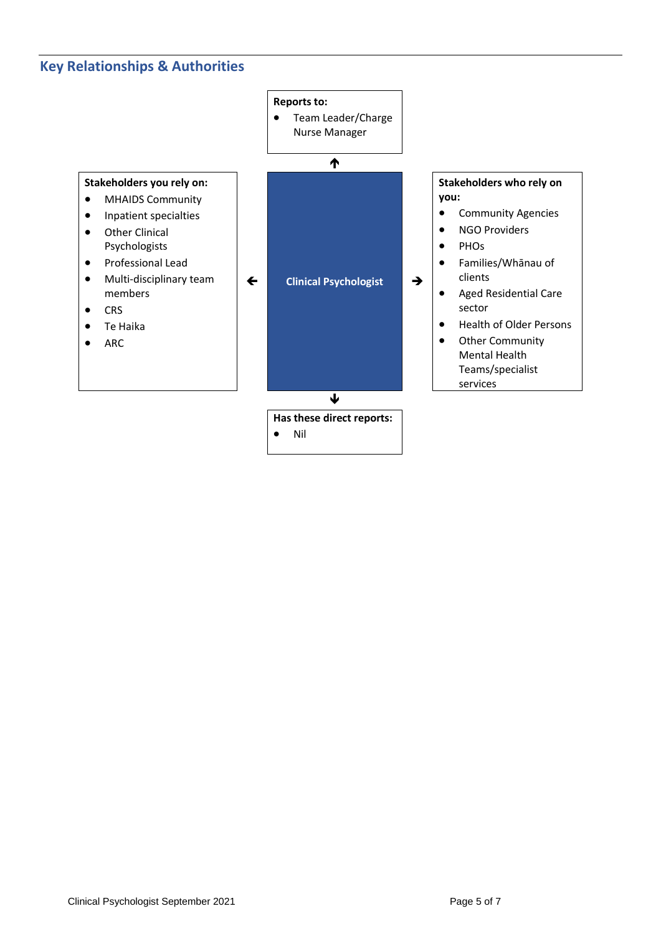## **Key Relationships & Authorities**

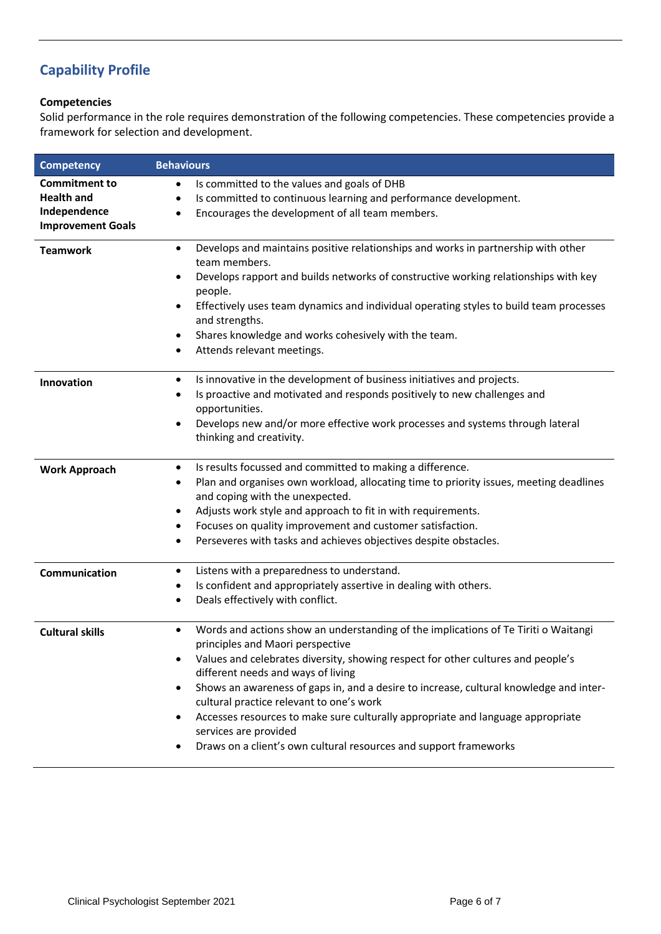# **Capability Profile**

### **Competencies**

Solid performance in the role requires demonstration of the following competencies. These competencies provide a framework for selection and development.

| <b>Competency</b>                                                                     | <b>Behaviours</b>                                                                                                                                                                                                                                                                                                                                                                                                                                                                                                                                                                                                    |
|---------------------------------------------------------------------------------------|----------------------------------------------------------------------------------------------------------------------------------------------------------------------------------------------------------------------------------------------------------------------------------------------------------------------------------------------------------------------------------------------------------------------------------------------------------------------------------------------------------------------------------------------------------------------------------------------------------------------|
| <b>Commitment to</b><br><b>Health and</b><br>Independence<br><b>Improvement Goals</b> | Is committed to the values and goals of DHB<br>٠<br>Is committed to continuous learning and performance development.<br>Encourages the development of all team members.<br>٠                                                                                                                                                                                                                                                                                                                                                                                                                                         |
| <b>Teamwork</b>                                                                       | Develops and maintains positive relationships and works in partnership with other<br>٠<br>team members.<br>Develops rapport and builds networks of constructive working relationships with key<br>٠<br>people.<br>Effectively uses team dynamics and individual operating styles to build team processes<br>$\bullet$<br>and strengths.<br>Shares knowledge and works cohesively with the team.<br>٠<br>Attends relevant meetings.                                                                                                                                                                                   |
| Innovation                                                                            | Is innovative in the development of business initiatives and projects.<br>٠<br>Is proactive and motivated and responds positively to new challenges and<br>٠<br>opportunities.<br>Develops new and/or more effective work processes and systems through lateral<br>٠<br>thinking and creativity.                                                                                                                                                                                                                                                                                                                     |
| <b>Work Approach</b>                                                                  | Is results focussed and committed to making a difference.<br>٠<br>Plan and organises own workload, allocating time to priority issues, meeting deadlines<br>٠<br>and coping with the unexpected.<br>Adjusts work style and approach to fit in with requirements.<br>٠<br>Focuses on quality improvement and customer satisfaction.<br>٠<br>Perseveres with tasks and achieves objectives despite obstacles.<br>٠                                                                                                                                                                                                     |
| Communication                                                                         | Listens with a preparedness to understand.<br>٠<br>Is confident and appropriately assertive in dealing with others.<br>٠<br>Deals effectively with conflict.<br>٠                                                                                                                                                                                                                                                                                                                                                                                                                                                    |
| <b>Cultural skills</b>                                                                | Words and actions show an understanding of the implications of Te Tiriti o Waitangi<br>$\bullet$<br>principles and Maori perspective<br>Values and celebrates diversity, showing respect for other cultures and people's<br>$\bullet$<br>different needs and ways of living<br>Shows an awareness of gaps in, and a desire to increase, cultural knowledge and inter-<br>$\bullet$<br>cultural practice relevant to one's work<br>Accesses resources to make sure culturally appropriate and language appropriate<br>٠<br>services are provided<br>Draws on a client's own cultural resources and support frameworks |